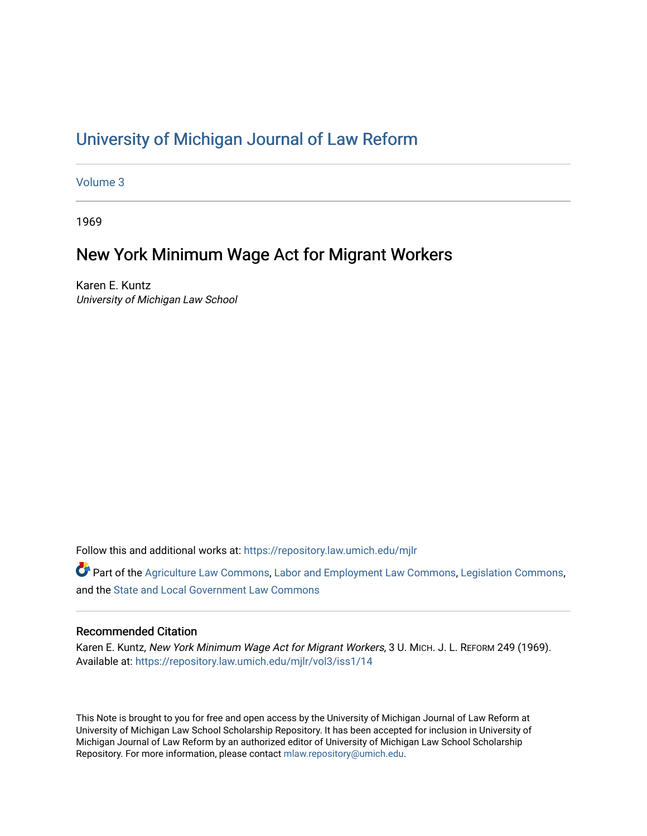# [University of Michigan Journal of Law Reform](https://repository.law.umich.edu/mjlr)

[Volume 3](https://repository.law.umich.edu/mjlr/vol3)

1969

# New York Minimum Wage Act for Migrant Workers

Karen E. Kuntz University of Michigan Law School

Follow this and additional works at: [https://repository.law.umich.edu/mjlr](https://repository.law.umich.edu/mjlr?utm_source=repository.law.umich.edu%2Fmjlr%2Fvol3%2Fiss1%2F14&utm_medium=PDF&utm_campaign=PDFCoverPages) 

Part of the [Agriculture Law Commons](http://network.bepress.com/hgg/discipline/581?utm_source=repository.law.umich.edu%2Fmjlr%2Fvol3%2Fiss1%2F14&utm_medium=PDF&utm_campaign=PDFCoverPages), [Labor and Employment Law Commons,](http://network.bepress.com/hgg/discipline/909?utm_source=repository.law.umich.edu%2Fmjlr%2Fvol3%2Fiss1%2F14&utm_medium=PDF&utm_campaign=PDFCoverPages) [Legislation Commons](http://network.bepress.com/hgg/discipline/859?utm_source=repository.law.umich.edu%2Fmjlr%2Fvol3%2Fiss1%2F14&utm_medium=PDF&utm_campaign=PDFCoverPages), and the [State and Local Government Law Commons](http://network.bepress.com/hgg/discipline/879?utm_source=repository.law.umich.edu%2Fmjlr%2Fvol3%2Fiss1%2F14&utm_medium=PDF&utm_campaign=PDFCoverPages) 

## Recommended Citation

Karen E. Kuntz, New York Minimum Wage Act for Migrant Workers, 3 U. MICH. J. L. REFORM 249 (1969). Available at: [https://repository.law.umich.edu/mjlr/vol3/iss1/14](https://repository.law.umich.edu/mjlr/vol3/iss1/14?utm_source=repository.law.umich.edu%2Fmjlr%2Fvol3%2Fiss1%2F14&utm_medium=PDF&utm_campaign=PDFCoverPages) 

This Note is brought to you for free and open access by the University of Michigan Journal of Law Reform at University of Michigan Law School Scholarship Repository. It has been accepted for inclusion in University of Michigan Journal of Law Reform by an authorized editor of University of Michigan Law School Scholarship Repository. For more information, please contact [mlaw.repository@umich.edu](mailto:mlaw.repository@umich.edu).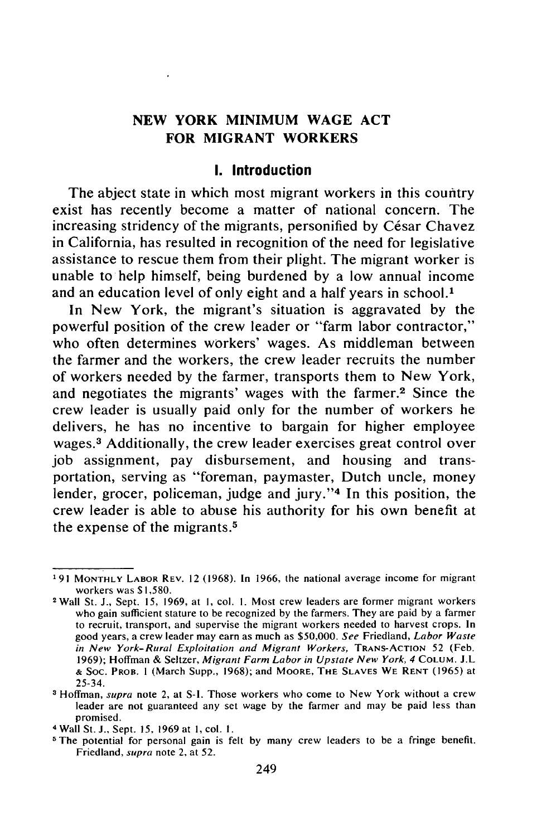## **NEW YORK MINIMUM WAGE ACT FOR MIGRANT WORKERS**

### **I.** Introduction

**The abject** state in which most migrant workers in this country exist has recently become a matter of national concern. The increasing stridency of the migrants, personified by César Chavez in California, has resulted in recognition of the need for legislative assistance to rescue them from their plight. The migrant worker is unable to help himself, being burdened **by** a low annual income and an education level of only eight and a half years in school.<sup>1</sup>

In New York, the migrant's situation is aggravated **by** the powerful position of the crew leader or "farm labor contractor," who often determines workers' wages. As middleman between the farmer and the workers, the crew leader recruits the number of workers needed **by** the farmer, transports them to New York, and negotiates the migrants' wages with the farmer.2 Since the crew leader is usually paid only for the number of workers he delivers, he has no incentive to bargain for higher employee wages.3 Additionally, the crew leader exercises great control over **job** assignment, pay disbursement, and housing and transportation, serving as "foreman, paymaster, Dutch uncle, money lender, grocer, policeman, judge and jury."<sup>4</sup> In this position, the crew leader is able to abuse his authority for his own benefit at the expense of the migrants.<sup>5</sup>

**<sup>&#</sup>x27;91 MONTHLY** LABOR REV. 12 **(1968).** In 1966, the national average income for migrant workers was \$1,580. <sup>2</sup> Wall St. **J.,** Sept. 15, 1969, at **1,** col. **1.** Most crew leaders are former migrant workers

who gain sufficient stature to be recognized **by** the farmers. They are paid **by** a farmer to recruit, transport, and supervise the migrant workers needed to harvest crops. In good years, a crew leader may earn as much as **\$50,000.** See Friedland, Labor Waste *in New York-Rural Exploitation and Migrant Workers,* TRANS-ACTION 52 (Feb. 1969); Hoffman & Seltzer, *Migrant Farm* Labor *in Upstate New York,* 4 COLUM. J.L **&** Soc. PROB. **I** (March Supp., 1968); and MOORE, THE **SLAVES** WE RENT (1965) at 25-34.

**<sup>3</sup>** Hoffman, *supra* note 2, at S-1. Those workers who come to New York without a crew leader are not guaranteed any set wage **by** the farmer and may be paid less than promised. 4 Wall St. **J.,** Sept. **15, 1969** at **1,** col. **I.**

**<sup>5</sup>** The potential for personal gain is felt by many crew leaders to be a fringe benefit. Friedland, supra note 2, at 52.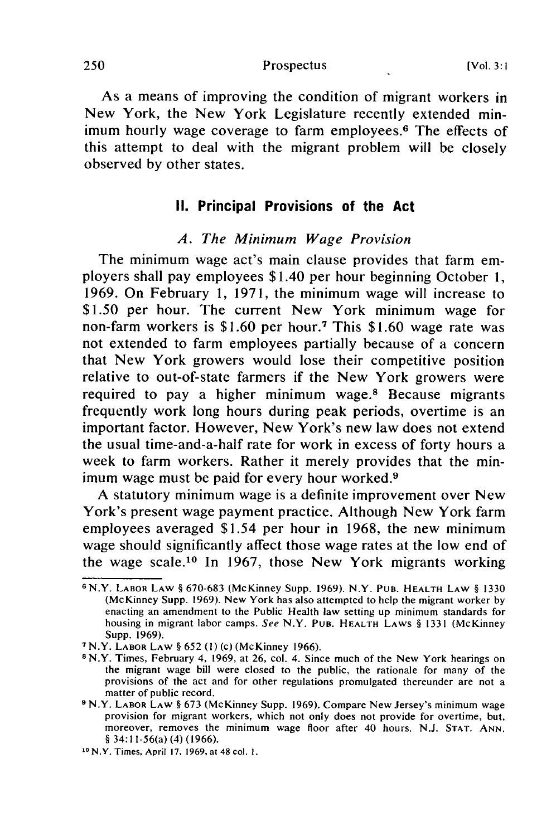Prospectus

As a means of improving the condition of migrant workers in New York, the New York Legislature recently extended minimum hourly wage coverage to farm employees.<sup>6</sup> The effects of this attempt to deal with the migrant problem will be closely observed by other states.

## **II.** Principal Provisions of the Act

### *A. The Minimum Wage Provision*

The minimum wage act's main clause provides that farm employers shall pay employees \$1.40 per hour beginning October 1, 1969. On February 1, 1971, the minimum wage will increase to \$1.50 per hour. The current New York minimum wage for non-farm workers is \$1.60 per hour.<sup>7</sup> This \$1.60 wage rate was not extended to farm employees partially because of a concern that New York growers would lose their competitive position relative to out-of-state farmers if the New York growers were required to pay a higher minimum wage.<sup>8</sup> Because migrants frequently work long hours during peak periods, overtime is an important factor. However, New York's new law does not extend the usual time-and-a-half rate for work in excess of forty hours a week to farm workers. Rather it merely provides that the minimum wage must be paid for every hour worked.<sup>9</sup>

A statutory minimum wage is a definite improvement over New York's present wage payment practice. Although New York farm employees averaged \$1.54 per hour in 1968, the new minimum wage should significantly affect those wage rates at the low end of the wage scale.10 In 1967, those New York migrants working

<sup>6</sup> N.Y. LABOR LAW § 670-683 (McKinney Supp. 1969). N.Y. PuB. HEALTH **LAW** § 1330 (McKinney Supp. 1969). New York has also attempted to help the migrant worker by enacting an amendment to the Public Health law setting up minimum standards for housing in migrant labor camps. *See* N.Y. PuB. **HEALTH** LAWS § 1331 (McKinney Supp. 1969). <sup>7</sup> N.Y. LABOR LAW § 652 (I) (c) (McKinney 1966).

**<sup>8</sup>** N.Y. Times, February 4, 1969, at 26, col. 4. Since much of the New York hearings on the migrant wage bill were closed to the public, the rationale for many of the provisions of the act and for other regulations promulgated thereunder are not a matter of public record.

**<sup>9</sup>**N.Y. **LABOR** LAW § 673 (McKinney Supp. 1969). Compare New Jersey's minimum wage provision for migrant workers, which not only does not provide for overtime, but, moreover, removes the minimum wage floor after 40 hours. N.J. **STAT.** ANN. § 34:11-56(a) (4) (1966). **<sup>10</sup>**

N.Y. Times, April **17,** 1969, at 48 col. **1.**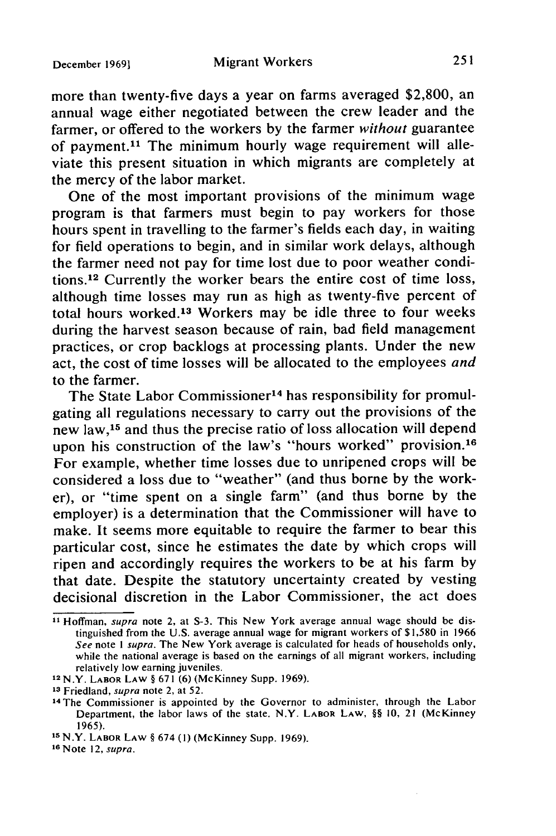#### Migrant Workers

more than twenty-five days a year on farms averaged \$2,800, an annual wage either negotiated between the crew leader and the farmer, or offered to the workers by the farmer without guarantee of payment.<sup>11</sup> The minimum hourly wage requirement will alleviate this present situation in which migrants are completely at the mercy of the labor market.

One of the most important provisions of the minimum wage program is that farmers must begin to pay workers for those hours spent in travelling to the farmer's fields each day, in waiting for field operations to begin, and in similar work delays, although the farmer need not pay for time lost due to poor weather conditions.12 Currently the worker bears the entire cost of time loss, although time losses may run as high as twenty-five percent of total hours worked.<sup>13</sup> Workers may be idle three to four weeks during the harvest season because of rain, bad field management practices, or crop backlogs at processing plants. Under the new act, the cost of time losses will be allocated to the employees *and* to the farmer.

The State Labor Commissioner<sup>14</sup> has responsibility for promulgating all regulations necessary to carry out the provisions of the new law,<sup>15</sup> and thus the precise ratio of loss allocation will depend upon his construction of the law's "hours worked" provision.<sup>16</sup> For example, whether time losses due to unripened crops will be considered a loss due to "weather" (and thus borne by the worker), or "time spent on a single farm" (and thus borne by the employer) is a determination that the Commissioner will have to make. It seems more equitable to require the farmer to bear this particular cost, since he estimates the date by which crops will ripen and accordingly requires the workers to be at his farm by that date. Despite the statutory uncertainty created by vesting decisional discretion in the Labor Commissioner, the act does

**a1** Hoffman, supra note 2, at S-3. This New York average annual wage should be distinguished from the U.S. average annual wage for migrant workers of \$1,580 in 1966 See note *I* supra. The New York average is calculated for heads of households only, while the national average is based on the earnings of all migrant workers, including relatively low earning juveniles.

<sup>1</sup> <sup>2</sup> N.Y. LABOR LAW § 671 (6) (McKinney Supp. 1969).

**<sup>13</sup>** Friedland, supra note 2, at 52.

<sup>14</sup> The Commissioner is appointed by the Governor to administer, through the Labor Department, the labor laws of the state. N.Y. LABOR LAW, §§ 10, 21 (McKinney 1965).

**Is** N.Y. LABOR LAW § 674 **(1)** (McKinney Supp. 1969).

**<sup>16</sup>**Note 12, supra.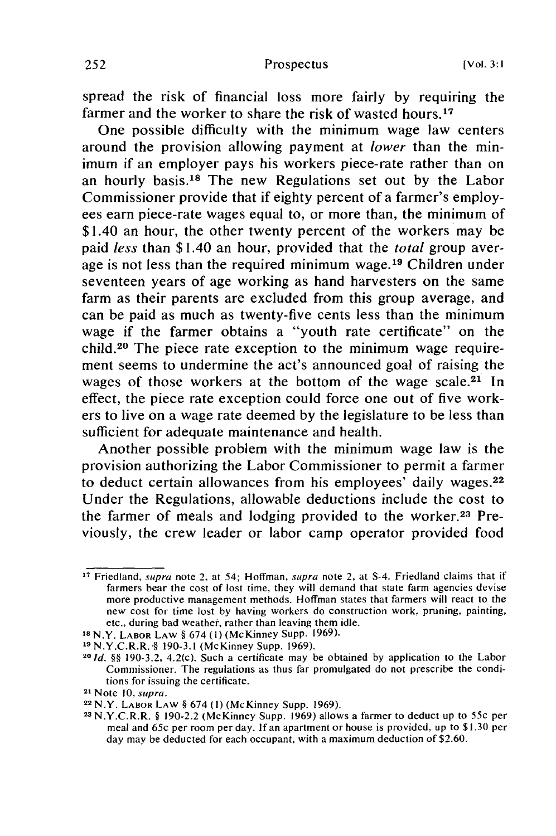spread the risk of financial loss more fairly by requiring the farmer and the worker to share the risk of wasted hours.<sup>17</sup>

One possible difficulty with the minimum wage law centers around the provision allowing payment at *lower* than the minimum if an employer pays his workers piece-rate rather than on an hourly basis.18 The new Regulations set out by the Labor Commissioner provide that if eighty percent of a farmer's employees earn piece-rate wages equal to, or more than, the minimum of \$1.40 an hour, the other twenty percent of the workers may be paid *less* than \$1.40 an hour, provided that the *total* group average is not less than the required minimum wage.<sup>19</sup> Children under seventeen years of age working as hand harvesters on the same farm as their parents are excluded from this group average, and can be paid as much as twenty-five cents less than the minimum wage if the farmer obtains a "youth rate certificate" on the child.<sup>20</sup> The piece rate exception to the minimum wage requirement seems to undermine the act's announced goal of raising the wages of those workers at the bottom of the wage scale.<sup>21</sup> In effect, the piece rate exception could force one out of five workers to live on a wage rate deemed by the legislature to be less than sufficient for adequate maintenance and health.

Another possible problem with the minimum wage law is the provision authorizing the Labor Commissioner to permit a farmer to deduct certain allowances from his employees' daily wages.<sup>22</sup> Under the Regulations, allowable deductions include the cost to the farmer of meals and lodging provided to the worker.<sup>23</sup> Previously, the crew leader or labor camp operator provided food

**<sup>17</sup>**Friedland, *supra* note 2, at 54; Hoffman, *supra* note 2, at S-4. Friedland claims that if farmers bear the cost of lost time, they will demand that state farm agencies devise more productive management methods. Hoffman states that farmers will react to the new cost for time lost by having workers do construction work, pruning, painting, etc., during bad weather, rather than leaving them idle.

IsN.Y. LABOR LAW § 674 **(1)** (McKinney Supp. 1969).

**<sup>19</sup>**N.Y.C.R.R..§ 190-3.1 (McKinney Supp. 1969). **<sup>20</sup>**

**<sup>1</sup>d.** *§§* 190-3.2, 4.2(c). Such a certificate may be obtained by application to the Labor Commissioner. The regulations as thus far promulgated do not prescribe the conditions for issuing the certificate. 21 Note *10, supra.*

<sup>22</sup>N.Y. LABOR LAW § 674 **(1)** (McKinney Supp. 1969).

**<sup>23</sup>**N.Y.C.R.R. § 190-2.2 (McKinney Supp. 1969) allows a farmer to deduct up to *55c* per meal and 65c per room per day. If an apartment or house is provided, up to \$1.30 per day may be deducted for each occupant, with a maximum deduction of \$2.60.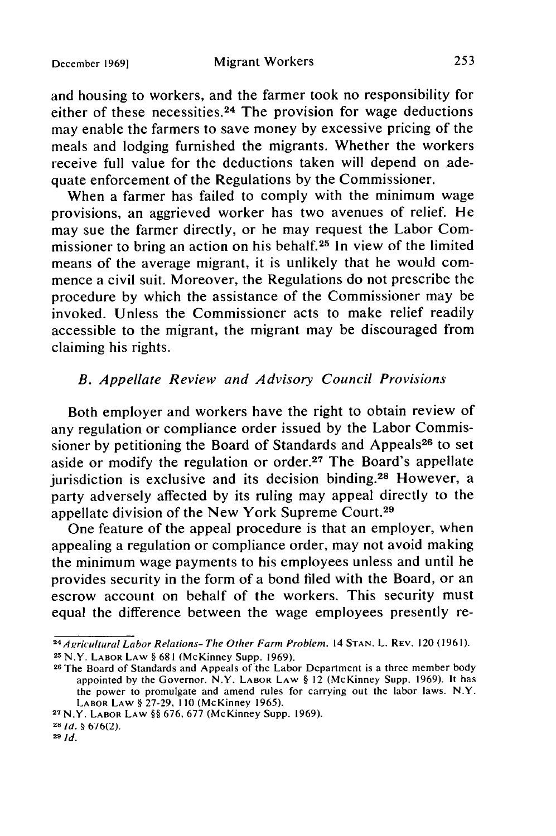#### Migrant Workers

and housing to workers, and the farmer took no responsibility for either of these necessities.<sup>24</sup> The provision for wage deductions may enable the farmers to save money by excessive pricing of the meals and lodging furnished the migrants. Whether the workers receive full value for the deductions taken will depend on adequate enforcement of the Regulations by the Commissioner.

When a farmer has failed to comply with the minimum wage provisions, an aggrieved worker has two avenues of relief. He may sue the farmer directly, or he may request the Labor Commissioner to bring an action on his behalf.25 In view of the limited means of the average migrant, it is unlikely that he would commence a civil suit. Moreover, the Regulations do not prescribe the procedure by which the assistance of the Commissioner may be invoked. Unless the Commissioner acts to make relief readily accessible to the migrant, the migrant may be discouraged from claiming his rights.

## *B. Appellate Review and Advisory Council Provisions*

Both employer and workers have the right to obtain review of any regulation or compliance order issued by the Labor Commissioner by petitioning the Board of Standards and Appeals<sup>26</sup> to set aside or modify the regulation or order.<sup>27</sup> The Board's appellate jurisdiction is exclusive and its decision binding.<sup>28</sup> However, a party adversely affected by its ruling may appeal directly to the appellate division of the New York Supreme Court.<sup>29</sup>

One feature of the appeal procedure is that an employer, when appealing a regulation or compliance order, may not avoid making the minimum wage payments to his employees unless and until he provides security in the form of a bond filed with the Board, or an escrow account on behalf of the workers. This security must equal the difference between the wage employees presently re-

<sup>2</sup> *<sup>4</sup>*Aricultural Labor Relations- The Other Farm Problem. 14 **STAN.** L. REV. 120 (1961). **<sup>25</sup>**N.Y. LABOR LAW § 681 (McKinney Supp. 1969).

**<sup>26</sup>**The Board of Standards and Appeals of the Labor Department is a three member body appointed by the Governor. N.Y. LABOR LAW **§** 12 (McKinney Supp. 1969). It has the power to promulgate and amend rules for carrying out the labor laws. N.Y. **LABOR** LAW § 27-29, 110 (McKinney 1965).

**<sup>27</sup>**N.Y. LABOR LAW *§§* 676, 677 (McKinney Supp. 1969).

<sup>2</sup>t *id.* **2 6/6(2).**

**<sup>29</sup>***ld.*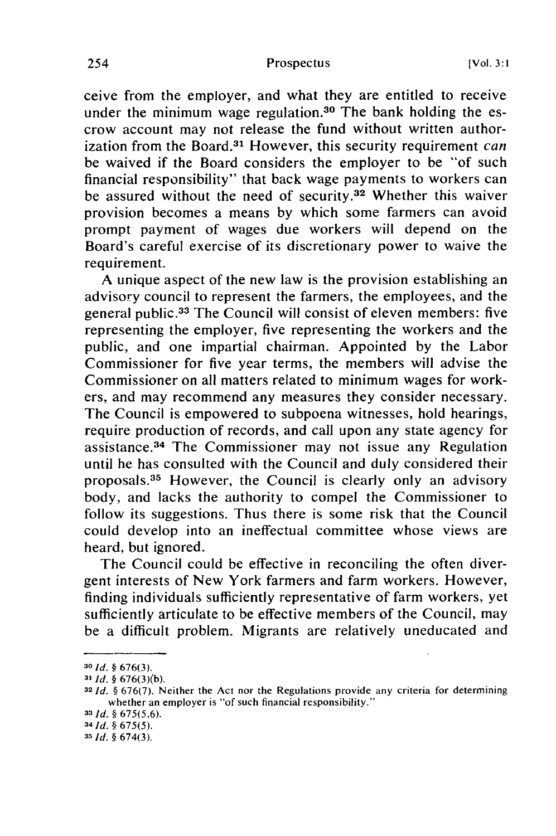ceive from the employer, and what they are entitled to receive under the minimum wage regulation.<sup>30</sup> The bank holding the escrow account may not release the fund without written authorization from the Board.<sup>31</sup> However, this security requirement *can* be waived if the Board considers the employer to be "of such financial responsibility" that back wage payments to workers can be assured without the need of security.<sup>32</sup> Whether this waiver provision becomes a means by which some farmers can avoid prompt payment of wages due workers will depend on the Board's careful exercise of its discretionary power to waive the requirement.

A unique aspect of the new law is the provision establishing an advisory council to represent the farmers, the employees, and the general public.<sup>33</sup> The Council will consist of eleven members: five representing the employer, five representing the workers and the public, and one impartial chairman. Appointed by the Labor Commissioner for five year terms, the members will advise the Commissioner on all matters related to minimum wages for workers, and may recommend any measures they consider necessary. The Council is empowered to subpoena witnesses, hold hearings, require production of records, and call upon any state agency for assistance.<sup>34</sup> The Commissioner may not issue any Regulation until he has consulted with the Council and duly considered their proposals.<sup>35</sup> However, the Council is clearly only an advisory body, and lacks the authority to compel the Commissioner to follow its suggestions. Thus there is some risk that the Council could develop into an ineffectual committee whose views are heard, but ignored.

The Council could be effective in reconciling the often divergent interests of New York farmers and farm workers. However, finding individuals sufficiently representative of farm workers, yet sufficiently articulate to be effective members of the Council, may be a difficult problem. Migrants are relatively uneducated and

**<sup>30</sup>Id.** § 676(3).

**<sup>31</sup> Id.** § 676(3)(b).

**<sup>32</sup>Id.** § 676(7). Neither the Act nor the Regulations provide any criteria for determining whether an employer is "of such financial responsibility."

**<sup>33</sup>** Id. § 675(5,6).

**<sup>34</sup> id.** § 675(5).

*<sup>35</sup>* **Id.** § 674(3).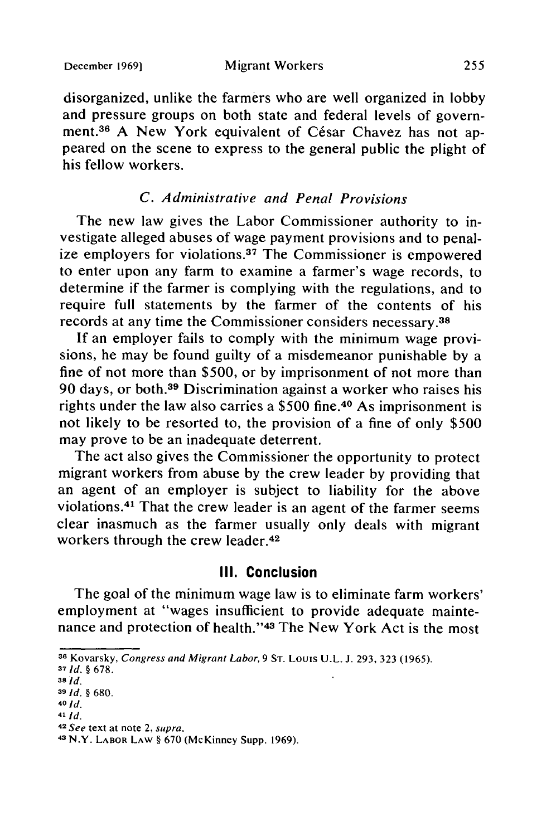#### Migrant Workers

disorganized, unlike the farmers who are well organized in lobby and pressure groups on both state and federal levels of government.<sup>36</sup> A New York equivalent of César Chavez has not appeared on the scene to express to the general public the plight of his fellow workers.

## *C. Administrative and Penal Provisions*

The new law gives the Labor Commissioner authority to investigate alleged abuses of wage payment provisions and to penalize employers for violations.<sup>37</sup> The Commissioner is empowered to enter upon any farm to examine a farmer's wage records, to determine if the farmer is complying with the regulations, and to require full statements by the farmer of the contents of his records at any time the Commissioner considers necessary.38

If an employer fails to comply with the minimum wage provisions, he may be found guilty of a misdemeanor punishable by a fine of not more than \$500, or by imprisonment of not more than 90 days, or both.39 Discrimination against a worker who raises his rights under the law also carries a \$500 fine.40 As imprisonment is not likely to be resorted to, the provision of a fine of only \$500 may prove to be an inadequate deterrent.

The act also gives the Commissioner the opportunity to protect migrant workers from abuse by the crew leader by providing that an agent of an employer is subject to liability for the above violations.<sup>41</sup> That the crew leader is an agent of the farmer seems clear inasmuch as the farmer usually only deals with migrant workers through the crew leader.<sup>42</sup>

## **III. Conclusion**

The goal of the minimum wage law is to eliminate farm workers' employment at "wages insufficient to provide adequate maintenance and protection of health." 43 The New York Act is the most

**<sup>36</sup>**Kovarsky, Congress and Migrant Labor, 9 **ST.** Louis U.L. **J.** 293, 323 **(1965).**

**<sup>37</sup>***Id. §* 678.

**<sup>38</sup>***Id.*

**<sup>9</sup>***Id. §* 680.

<sup>40</sup> **Id.**

**<sup>41</sup>***Id.*

**<sup>42</sup>**See text at note 2, supra.

<sup>43</sup>N.Y. LABOR LAW **§** 670 (McKinney Supp. 1969).